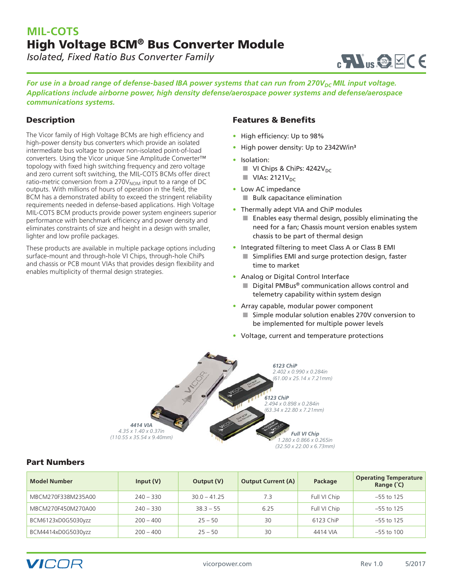# **MIL-COTS** High Voltage BCM® Bus Converter Module

*Isolated, Fixed Ratio Bus Converter Family*



*For use in a broad range of defense-based IBA power systems that can run from 270V<sub>DC</sub> MIL input voltage. Applications include airborne power, high density defense/aerospace power systems and defense/aerospace communications systems.*

### **Description**

The Vicor family of High Voltage BCMs are high efficiency and high-power density bus converters which provide an isolated intermediate bus voltage to power non-isolated point-of-load converters. Using the Vicor unique Sine Amplitude Converter™ topology with fixed high switching frequency and zero voltage and zero current soft switching, the MIL-COTS BCMs offer direct ratio-metric conversion from a 270 $V<sub>NOM</sub>$  input to a range of DC outputs. With millions of hours of operation in the field, the BCM has a demonstrated ability to exceed the stringent reliability requirements needed in defense-based applications. High Voltage MIL-COTS BCM products provide power system engineers superior performance with benchmark efficiency and power density and eliminates constraints of size and height in a design with smaller, lighter and low profile packages.

These products are available in multiple package options including surface-mount and through-hole VI Chips, through-hole ChiPs and chassis or PCB mount VIAs that provides design flexibility and enables multiplicity of thermal design strategies.

#### Features & Benefits

- High efficiency: Up to 98%
- High power density: Up to 2342W/in<sup>3</sup>
- Isolation:
	- $\blacksquare$  VI Chips & ChiPs: 4242V<sub>DC</sub>
	- $\blacksquare$  VIAs: 2121 $V_{DC}$
- Low AC impedance
	- Bulk capacitance elimination
- Thermally adept VIA and ChiP modules
	- Enables easy thermal design, possibly eliminating the need for a fan; Chassis mount version enables system chassis to be part of thermal design
- Integrated filtering to meet Class A or Class B EMI ■ Simplifies EMI and surge protection design, faster time to market
- Analog or Digital Control Interface
	- Digital PMBus<sup>®</sup> communication allows control and telemetry capability within system design
- Array capable, modular power component ■ Simple modular solution enables 270V conversion to be implemented for multiple power levels
- Voltage, current and temperature protections



#### Part Numbers

| <b>Model Number</b> | Input $(V)$ | Output (V)     | <b>Output Current (A)</b> | Package      | <b>Operating Temperature</b><br>Range (°C) |
|---------------------|-------------|----------------|---------------------------|--------------|--------------------------------------------|
| MBCM270F338M235A00  | $240 - 330$ | $30.0 - 41.25$ | 7.3                       | Full VI Chip | $-55$ to 125                               |
| MBCM270F450M270A00  | $240 - 330$ | $38.3 - 55$    | 6.25                      | Full VI Chip | $-55$ to 125                               |
| BCM6123xD0G5030yzz  | $200 - 400$ | $25 - 50$      | 30                        | 6123 ChiP    | $-55$ to 125                               |
| BCM4414xD0G5030yzz  | $200 - 400$ | $25 - 50$      | 30                        | 4414 VIA     | $-55$ to 100                               |